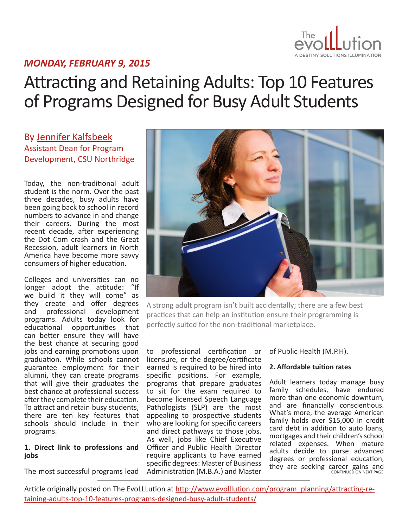

### *MONDAY, FEBRUARY 9, 2015*

# Attracting and Retaining Adults: Top 10 Features of Programs Designed for Busy Adult Students

By [Jennifer Kalfsbeek](http://www.evolllution.com/author/jennifer-kalfsbeek/) Assistant Dean for Program Development, CSU Northridge

Today, the non-traditional adult student is the norm. Over the past three decades, busy adults have been going back to school in record numbers to advance in and change their careers. During the most recent decade, after experiencing the Dot Com crash and the Great Recession, adult learners in North America have become more savvy consumers of higher education.

Colleges and universities can no longer adopt the attitude: "If we build it they will come" as they create and offer degrees and professional development programs. Adults today look for educational opportunities that can better ensure they will have the best chance at securing good jobs and earning promotions upon graduation. While schools cannot guarantee employment for their alumni, they can create programs that will give their graduates the best chance at professional success after they complete their education. To attract and retain busy students, there are ten key features that schools should include in their programs.

#### **1. Direct link to professions and jobs**

The most successful programs lead



A strong adult program isn't built accidentally; there are a few best practices that can help an institution ensure their programming is perfectly suited for the non-traditional marketplace.

to professional certification or licensure, or the degree/certificate earned is required to be hired into specific positions. For example, programs that prepare graduates to sit for the exam required to become licensed Speech Language Pathologists (SLP) are the most appealing to prospective students who are looking for specific careers and direct pathways to those jobs. As well, jobs like Chief Executive Officer and Public Health Director require applicants to have earned specific degrees: Master of Business Administration (M.B.A.) and Master

of Public Health (M.P.H).

#### **2. Affordable tuition rates**

Adult learners today manage busy family schedules, have endured more than one economic downturn, and are financially conscientious. What's more, the average American family holds over \$15,000 in credit card debt in addition to auto loans, mortgages and their children's school related expenses. When mature adults decide to purse advanced degrees or professional education, they are seeking career gains and<br>CONTINUED ON NEXT PAGE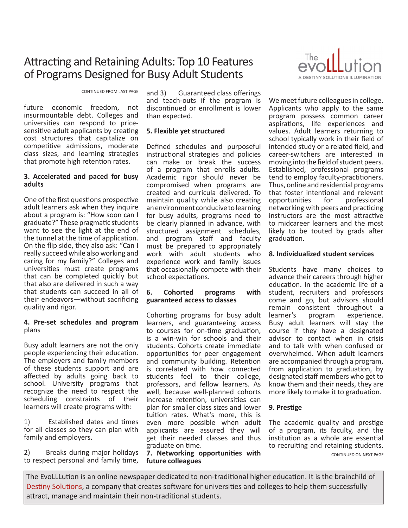## Attracting and Retaining Adults: Top 10 Features of Programs Designed for Busy Adult Students

CONTINUED FROM LAST PAGE

future economic freedom, not insurmountable debt. Colleges and universities can respond to pricesensitive adult applicants by creating cost structures that capitalize on competitive admissions, moderate class sizes, and learning strategies that promote high retention rates.

#### **3. Accelerated and paced for busy adults**

One of the first questions prospective adult learners ask when they inquire about a program is: "How soon can I graduate?" These pragmatic students want to see the light at the end of the tunnel at the time of application. On the flip side, they also ask: "Can I really succeed while also working and caring for my family?" Colleges and universities must create programs that can be completed quickly but that also are delivered in such a way that students can succeed in all of their endeavors—without sacrificing quality and rigor.

#### **4. Pre-set schedules and program** plans

Busy adult learners are not the only people experiencing their education. The employers and family members of these students support and are affected by adults going back to school. University programs that recognize the need to respect the scheduling constraints of their learners will create programs with:

1) Established dates and times for all classes so they can plan with family and employers.

2) Breaks during major holidays to respect personal and family time,

and 3) Guaranteed class offerings and teach-outs if the program is discontinued or enrollment is lower than expected.

#### **5. Flexible yet structured**

Defined schedules and purposeful instructional strategies and policies can make or break the success of a program that enrolls adults. Academic rigor should never be compromised when programs are created and curricula delivered. To maintain quality while also creating an environment conducive to learning for busy adults, programs need to be clearly planned in advance, with structured assignment schedules, and program staff and faculty must be prepared to appropriately work with adult students who experience work and family issues that occasionally compete with their school expectations.

#### **6. Cohorted programs with guaranteed access to classes**

Cohorting programs for busy adult learners, and guaranteeing access to courses for on-time graduation, is a win-win for schools and their students. Cohorts create immediate opportunities for peer engagement and community building. Retention is correlated with how connected students feel to their college, professors, and fellow learners. As well, because well-planned cohorts increase retention, universities can plan for smaller class sizes and lower tuition rates. What's more, this is even more possible when adult applicants are assured they will get their needed classes and thus graduate on time.

**7. Networking opportunities with future colleagues**



We meet future colleagues in college. Applicants who apply to the same program possess common career aspirations, life experiences and values. Adult learners returning to school typically work in their field of intended study or a related field, and career-switchers are interested in moving into the field of student peers. Established, professional programs tend to employ faculty-practitioners. Thus, online and residential programs that foster intentional and relevant opportunities for professional networking with peers and practicing instructors are the most attractive to midcareer learners and the most likely to be touted by grads after graduation.

#### **8. Individualized student services**

Students have many choices to advance their careers through higher education. In the academic life of a student, recruiters and professors come and go, but advisors should remain consistent throughout a<br>learner's program experience. program experience. Busy adult learners will stay the course if they have a designated advisor to contact when in crisis and to talk with when confused or overwhelmed. When adult learners are accompanied through a program, from application to graduation, by designated staff members who get to know them and their needs, they are more likely to make it to graduation.

#### **9. Prestige**

The academic quality and prestige of a program, its faculty, and the institution as a whole are essential to recruiting and retaining students. CONTINUED ON NEXT PAGE

The EvoLLLution is an online newspaper dedicated to non-traditional higher education. It is the brainchild of [Destiny Solutions](http://www.destinysolutions.com), a company that creates software for universities and colleges to help them successfully attract, manage and maintain their non-traditional students.